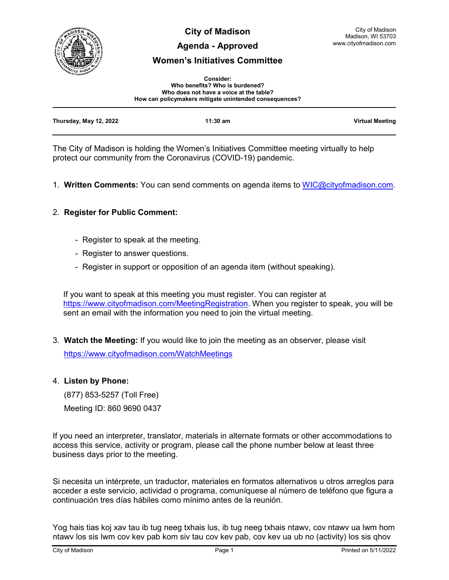

**City of Madison**

## **Agenda - Approved**

# **Women's Initiatives Committee**

| <b>Consider:</b>                                       |  |  |
|--------------------------------------------------------|--|--|
| Who benefits? Who is burdened?                         |  |  |
| Who does not have a voice at the table?                |  |  |
| How can policymakers mitigate unintended consequences? |  |  |

| Thursday, May 12, 2022 | $11:30$ am | <b>Virtual Meeting</b> |
|------------------------|------------|------------------------|
|                        |            |                        |

The City of Madison is holding the Women's Initiatives Committee meeting virtually to help protect our community from the Coronavirus (COVID-19) pandemic.

1. **Written Comments:** You can send comments on agenda items to [WIC@cityofmadison.com.](mailto:WIC@cityofmadison.com)

# 2. **Register for Public Comment:**

- Register to speak at the meeting.
- Register to answer questions.
- Register in support or opposition of an agenda item (without speaking).

If you want to speak at this meeting you must register. You can register at [https://www.cityofmadison.com/MeetingRegistration.](https://www.cityofmadison.com/MeetingRegistration) When you register to speak, you will be sent an email with the information you need to join the virtual meeting.

3. **Watch the Meeting:** If you would like to join the meeting as an observer, please visit <https://www.cityofmadison.com/WatchMeetings>

### 4. **Listen by Phone:**

 (877) 853-5257 (Toll Free) Meeting ID: 860 9690 0437

If you need an interpreter, translator, materials in alternate formats or other accommodations to access this service, activity or program, please call the phone number below at least three business days prior to the meeting.

Si necesita un intérprete, un traductor, materiales en formatos alternativos u otros arreglos para acceder a este servicio, actividad o programa, comuníquese al número de teléfono que figura a continuación tres días hábiles como mínimo antes de la reunión.

Yog hais tias koj xav tau ib tug neeg txhais lus, ib tug neeg txhais ntawv, cov ntawv ua lwm hom ntawv los sis lwm cov kev pab kom siv tau cov kev pab, cov kev ua ub no (activity) los sis qhov